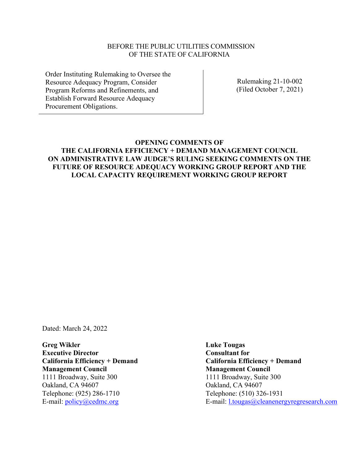#### BEFORE THE PUBLIC UTILITIES COMMISSION OF THE STATE OF CALIFORNIA

Order Instituting Rulemaking to Oversee the Resource Adequacy Program, Consider Program Reforms and Refinements, and Establish Forward Resource Adequacy Procurement Obligations.

Rulemaking 21-10-002 (Filed October 7, 2021)

# **OPENING COMMENTS OF THE CALIFORNIA EFFICIENCY + DEMAND MANAGEMENT COUNCIL ON ADMINISTRATIVE LAW JUDGE'S RULING SEEKING COMMENTS ON THE FUTURE OF RESOURCE ADEQUACY WORKING GROUP REPORT AND THE LOCAL CAPACITY REQUIREMENT WORKING GROUP REPORT**

Dated: March 24, 2022

**Greg Wikler Executive Director California Efficiency + Demand Management Council** 1111 Broadway, Suite 300 Oakland, CA 94607 Telephone: (925) 286-1710 E-mail: [policy@cedmc.org](mailto:policy@cedmc.org)

**Luke Tougas Consultant for California Efficiency + Demand Management Council** 1111 Broadway, Suite 300 Oakland, CA 94607 Telephone: (510) 326-1931 E-mail: [l.tougas@cleanenergyregresearch.com](mailto:l.tougas@cleanenergyregresearch.com)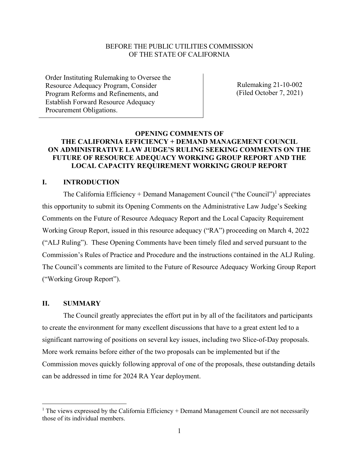#### BEFORE THE PUBLIC UTILITIES COMMISSION OF THE STATE OF CALIFORNIA

Order Instituting Rulemaking to Oversee the Resource Adequacy Program, Consider Program Reforms and Refinements, and Establish Forward Resource Adequacy Procurement Obligations.

Rulemaking 21-10-002 (Filed October 7, 2021)

## **OPENING COMMENTS OF THE CALIFORNIA EFFICIENCY + DEMAND MANAGEMENT COUNCIL ON ADMINISTRATIVE LAW JUDGE'S RULING SEEKING COMMENTS ON THE FUTURE OF RESOURCE ADEQUACY WORKING GROUP REPORT AND THE LOCAL CAPACITY REQUIREMENT WORKING GROUP REPORT**

## **I. INTRODUCTION**

The California Efficiency + Demand Management Council ("the Council")<sup>1</sup> appreciates this opportunity to submit its Opening Comments on the Administrative Law Judge's Seeking Comments on the Future of Resource Adequacy Report and the Local Capacity Requirement Working Group Report, issued in this resource adequacy ("RA") proceeding on March 4, 2022 ("ALJ Ruling"). These Opening Comments have been timely filed and served pursuant to the Commission's Rules of Practice and Procedure and the instructions contained in the ALJ Ruling. The Council's comments are limited to the Future of Resource Adequacy Working Group Report ("Working Group Report").

#### **II. SUMMARY**

The Council greatly appreciates the effort put in by all of the facilitators and participants to create the environment for many excellent discussions that have to a great extent led to a significant narrowing of positions on several key issues, including two Slice-of-Day proposals. More work remains before either of the two proposals can be implemented but if the Commission moves quickly following approval of one of the proposals, these outstanding details can be addressed in time for 2024 RA Year deployment.

 $1$  The views expressed by the California Efficiency + Demand Management Council are not necessarily those of its individual members.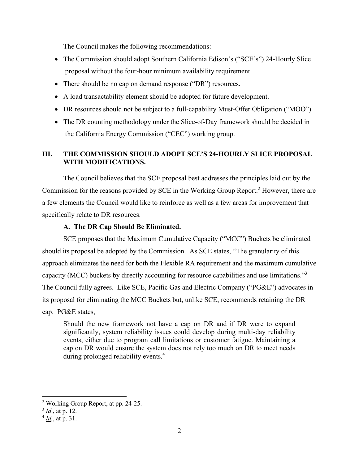The Council makes the following recommendations:

- The Commission should adopt Southern California Edison's ("SCE's") 24-Hourly Slice proposal without the four-hour minimum availability requirement.
- There should be no cap on demand response ("DR") resources.
- A load transactability element should be adopted for future development.
- DR resources should not be subject to a full-capability Must-Offer Obligation ("MOO").
- The DR counting methodology under the Slice-of-Day framework should be decided in the California Energy Commission ("CEC") working group.

# **III. THE COMMISSION SHOULD ADOPT SCE'S 24-HOURLY SLICE PROPOSAL WITH MODIFICATIONS.**

The Council believes that the SCE proposal best addresses the principles laid out by the Commission for the reasons provided by SCE in the Working Group Report.<sup>2</sup> However, there are a few elements the Council would like to reinforce as well as a few areas for improvement that specifically relate to DR resources.

# **A. The DR Cap Should Be Eliminated.**

SCE proposes that the Maximum Cumulative Capacity ("MCC") Buckets be eliminated should its proposal be adopted by the Commission. As SCE states, "The granularity of this approach eliminates the need for both the Flexible RA requirement and the maximum cumulative capacity (MCC) buckets by directly accounting for resource capabilities and use limitations."<sup>3</sup> The Council fully agrees. Like SCE, Pacific Gas and Electric Company ("PG&E") advocates in its proposal for eliminating the MCC Buckets but, unlike SCE, recommends retaining the DR cap. PG&E states,

Should the new framework not have a cap on DR and if DR were to expand significantly, system reliability issues could develop during multi-day reliability events, either due to program call limitations or customer fatigue. Maintaining a cap on DR would ensure the system does not rely too much on DR to meet needs during prolonged reliability events.<sup>4</sup>

<sup>2</sup> Working Group Report, at pp. 24-25.

<sup>3</sup> *Id*., at p. 12.

<sup>4</sup> *Id.*, at p. 31.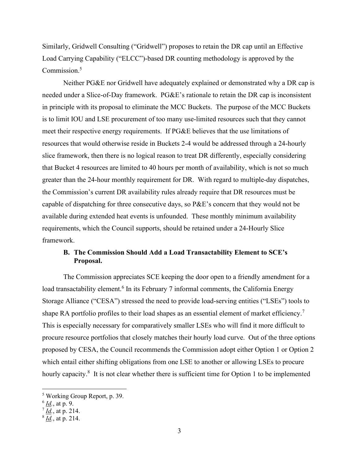Similarly, Gridwell Consulting ("Gridwell") proposes to retain the DR cap until an Effective Load Carrying Capability ("ELCC")-based DR counting methodology is approved by the Commission.<sup>5</sup>

Neither PG&E nor Gridwell have adequately explained or demonstrated why a DR cap is needed under a Slice-of-Day framework. PG&E's rationale to retain the DR cap is inconsistent in principle with its proposal to eliminate the MCC Buckets. The purpose of the MCC Buckets is to limit IOU and LSE procurement of too many use-limited resources such that they cannot meet their respective energy requirements. If PG&E believes that the use limitations of resources that would otherwise reside in Buckets 2-4 would be addressed through a 24-hourly slice framework, then there is no logical reason to treat DR differently, especially considering that Bucket 4 resources are limited to 40 hours per month of availability, which is not so much greater than the 24-hour monthly requirement for DR. With regard to multiple-day dispatches, the Commission's current DR availability rules already require that DR resources must be capable of dispatching for three consecutive days, so P&E's concern that they would not be available during extended heat events is unfounded. These monthly minimum availability requirements, which the Council supports, should be retained under a 24-Hourly Slice framework.

## **B. The Commission Should Add a Load Transactability Element to SCE's Proposal.**

The Commission appreciates SCE keeping the door open to a friendly amendment for a load transactability element.<sup>6</sup> In its February 7 informal comments, the California Energy Storage Alliance ("CESA") stressed the need to provide load-serving entities ("LSEs") tools to shape RA portfolio profiles to their load shapes as an essential element of market efficiency.<sup>7</sup> This is especially necessary for comparatively smaller LSEs who will find it more difficult to procure resource portfolios that closely matches their hourly load curve. Out of the three options proposed by CESA, the Council recommends the Commission adopt either Option 1 or Option 2 which entail either shifting obligations from one LSE to another or allowing LSEs to procure hourly capacity.<sup>8</sup> It is not clear whether there is sufficient time for Option 1 to be implemented

<sup>5</sup> Working Group Report, p. 39.

<sup>6</sup> *Id.*, at p. 9.

<sup>7</sup> *Id.*, at p. 214.

<sup>8</sup> *Id.*, at p. 214.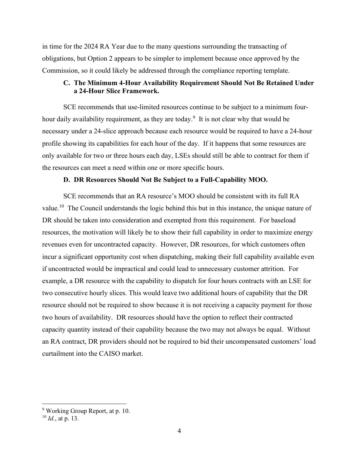in time for the 2024 RA Year due to the many questions surrounding the transacting of obligations, but Option 2 appears to be simpler to implement because once approved by the Commission, so it could likely be addressed through the compliance reporting template.

#### **C. The Minimum 4-Hour Availability Requirement Should Not Be Retained Under a 24-Hour Slice Framework.**

SCE recommends that use-limited resources continue to be subject to a minimum fourhour daily availability requirement, as they are today.<sup>9</sup> It is not clear why that would be necessary under a 24-slice approach because each resource would be required to have a 24-hour profile showing its capabilities for each hour of the day. If it happens that some resources are only available for two or three hours each day, LSEs should still be able to contract for them if the resources can meet a need within one or more specific hours.

#### **D. DR Resources Should Not Be Subject to a Full-Capability MOO.**

SCE recommends that an RA resource's MOO should be consistent with its full RA value.<sup>10</sup> The Council understands the logic behind this but in this instance, the unique nature of DR should be taken into consideration and exempted from this requirement. For baseload resources, the motivation will likely be to show their full capability in order to maximize energy revenues even for uncontracted capacity. However, DR resources, for which customers often incur a significant opportunity cost when dispatching, making their full capability available even if uncontracted would be impractical and could lead to unnecessary customer attrition. For example, a DR resource with the capability to dispatch for four hours contracts with an LSE for two consecutive hourly slices. This would leave two additional hours of capability that the DR resource should not be required to show because it is not receiving a capacity payment for those two hours of availability. DR resources should have the option to reflect their contracted capacity quantity instead of their capability because the two may not always be equal. Without an RA contract, DR providers should not be required to bid their uncompensated customers' load curtailment into the CAISO market.

<sup>9</sup> Working Group Report, at p. 10.

<sup>10</sup> *Id.*, at p. 13.